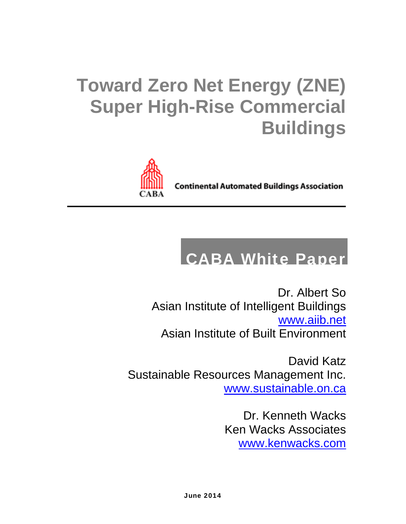## **Toward Zero Net Energy (ZNE) Super High-Rise Commercial Buildings**



**Continental Automated Buildings Association** 

### CABA White Paper

Dr. Albert So Asian Institute of Intelligent Buildings www.aiib.net Asian Institute of Built Environment

David Katz Sustainable Resources Management Inc. www.sustainable.on.ca

> Dr. Kenneth Wacks Ken Wacks Associates www.kenwacks.com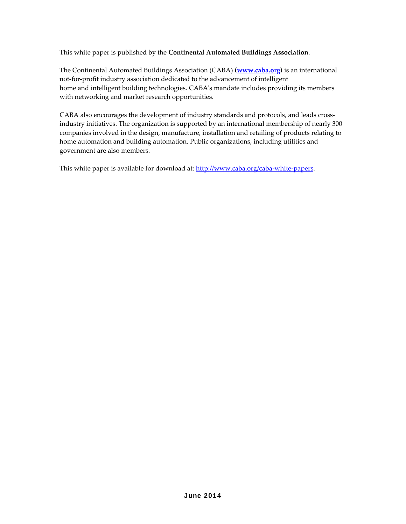This white paper is published by the **Continental Automated Buildings Association**.

The Continental Automated Buildings Association (CABA) **(www.caba.org)** is an international not‐for‐profit industry association dedicated to the advancement of intelligent home and intelligent building technologies. CABAʹs mandate includes providing its members with networking and market research opportunities.

CABA also encourages the development of industry standards and protocols, and leads cross‐ industry initiatives. The organization is supported by an international membership of nearly 300 companies involved in the design, manufacture, installation and retailing of products relating to home automation and building automation. Public organizations, including utilities and government are also members.

This white paper is available for download at: http://www.caba.org/caba-white-papers.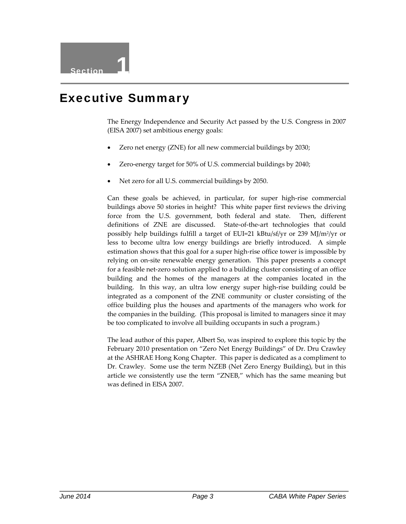#### Executive Summary

The Energy Independence and Security Act passed by the U.S. Congress in 2007 (EISA 2007) set ambitious energy goals:

- Zero net energy (ZNE) for all new commercial buildings by 2030;
- Zero-energy target for 50% of U.S. commercial buildings by 2040;
- Net zero for all U.S. commercial buildings by 2050.

Can these goals be achieved, in particular, for super high‐rise commercial buildings above 50 stories in height? This white paper first reviews the driving force from the U.S. government, both federal and state. Then, different definitions of ZNE are discussed. State-of-the-art technologies that could possibly help buildings fulfill a target of EUI=21 kBtu/sf/yr or 239 MJ/m2/yr or less to become ultra low energy buildings are briefly introduced. A simple estimation shows that this goal for a super high‐rise office tower is impossible by relying on on‐site renewable energy generation. This paper presents a concept for a feasible net‐zero solution applied to a building cluster consisting of an office building and the homes of the managers at the companies located in the building. In this way, an ultra low energy super high‐rise building could be integrated as a component of the ZNE community or cluster consisting of the office building plus the houses and apartments of the managers who work for the companies in the building. (This proposal is limited to managers since it may be too complicated to involve all building occupants in such a program.)

The lead author of this paper, Albert So, was inspired to explore this topic by the February 2010 presentation on "Zero Net Energy Buildings" of Dr. Dru Crawley at the ASHRAE Hong Kong Chapter. This paper is dedicated as a compliment to Dr. Crawley. Some use the term NZEB (Net Zero Energy Building), but in this article we consistently use the term "ZNEB," which has the same meaning but was defined in EISA 2007.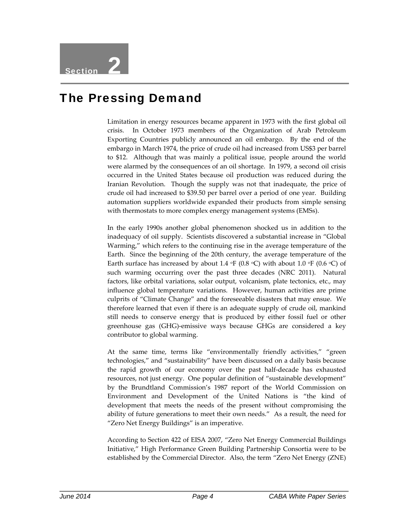#### The Pressing Demand

Limitation in energy resources became apparent in 1973 with the first global oil crisis. In October 1973 members of the Organization of Arab Petroleum Exporting Countries publicly announced an oil embargo. By the end of the embargo in March 1974, the price of crude oil had increased from US\$3 per barrel to \$12. Although that was mainly a political issue, people around the world were alarmed by the consequences of an oil shortage. In 1979, a second oil crisis occurred in the United States because oil production was reduced during the Iranian Revolution. Though the supply was not that inadequate, the price of crude oil had increased to \$39.50 per barrel over a period of one year. Building automation suppliers worldwide expanded their products from simple sensing with thermostats to more complex energy management systems (EMSs).

In the early 1990s another global phenomenon shocked us in addition to the inadequacy of oil supply. Scientists discovered a substantial increase in "Global Warming," which refers to the continuing rise in the average temperature of the Earth. Since the beginning of the 20th century, the average temperature of the Earth surface has increased by about 1.4  $\circ$ F (0.8  $\circ$ C) with about 1.0  $\circ$ F (0.6  $\circ$ C) of such warming occurring over the past three decades (NRC 2011). Natural factors, like orbital variations, solar output, volcanism, plate tectonics, etc., may influence global temperature variations. However, human activities are prime culprits of "Climate Change" and the foreseeable disasters that may ensue. We therefore learned that even if there is an adequate supply of crude oil, mankind still needs to conserve energy that is produced by either fossil fuel or other greenhouse gas (GHG)‐emissive ways because GHGs are considered a key contributor to global warming.

At the same time, terms like "environmentally friendly activities," "green technologies," and "sustainability" have been discussed on a daily basis because the rapid growth of our economy over the past half‐decade has exhausted resources, not just energy. One popular definition of "sustainable development" by the Brundtland Commission's 1987 report of the World Commission on Environment and Development of the United Nations is "the kind of development that meets the needs of the present without compromising the ability of future generations to meet their own needs." As a result, the need for "Zero Net Energy Buildings" is an imperative.

According to Section 422 of EISA 2007, "Zero Net Energy Commercial Buildings Initiative," High Performance Green Building Partnership Consortia were to be established by the Commercial Director. Also, the term "Zero Net Energy (ZNE)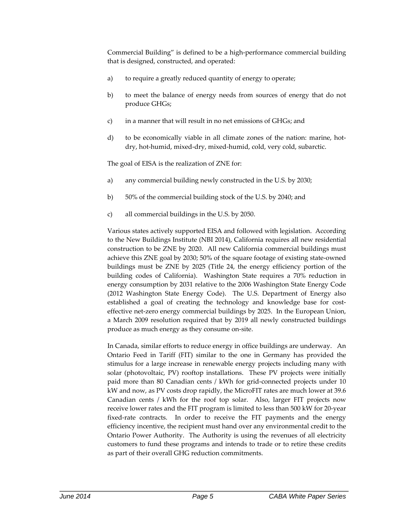Commercial Building" is defined to be a high‐performance commercial building that is designed, constructed, and operated:

- a) to require a greatly reduced quantity of energy to operate;
- b) to meet the balance of energy needs from sources of energy that do not produce GHGs;
- c) in a manner that will result in no net emissions of GHGs; and
- d) to be economically viable in all climate zones of the nation: marine, hotdry, hot‐humid, mixed‐dry, mixed‐humid, cold, very cold, subarctic.

The goal of EISA is the realization of ZNE for:

- a) any commercial building newly constructed in the U.S. by 2030;
- b) 50% of the commercial building stock of the U.S. by 2040; and
- c) all commercial buildings in the U.S. by 2050.

Various states actively supported EISA and followed with legislation. According to the New Buildings Institute (NBI 2014), California requires all new residential construction to be ZNE by 2020. All new California commercial buildings must achieve this ZNE goal by 2030; 50% of the square footage of existing state‐owned buildings must be ZNE by 2025 (Title 24, the energy efficiency portion of the building codes of California). Washington State requires a 70% reduction in energy consumption by 2031 relative to the 2006 Washington State Energy Code (2012 Washington State Energy Code). The U.S. Department of Energy also established a goal of creating the technology and knowledge base for costeffective net-zero energy commercial buildings by 2025. In the European Union, a March 2009 resolution required that by 2019 all newly constructed buildings produce as much energy as they consume on‐site.

In Canada, similar efforts to reduce energy in office buildings are underway. An Ontario Feed in Tariff (FIT) similar to the one in Germany has provided the stimulus for a large increase in renewable energy projects including many with solar (photovoltaic, PV) rooftop installations. These PV projects were initially paid more than 80 Canadian cents / kWh for grid-connected projects under 10 kW and now, as PV costs drop rapidly, the MicroFIT rates are much lower at 39.6 Canadian cents / kWh for the roof top solar. Also, larger FIT projects now receive lower rates and the FIT program is limited to less than 500 kW for 20‐year fixed-rate contracts. In order to receive the FIT payments and the energy efficiency incentive, the recipient must hand over any environmental credit to the Ontario Power Authority. The Authority is using the revenues of all electricity customers to fund these programs and intends to trade or to retire these credits as part of their overall GHG reduction commitments.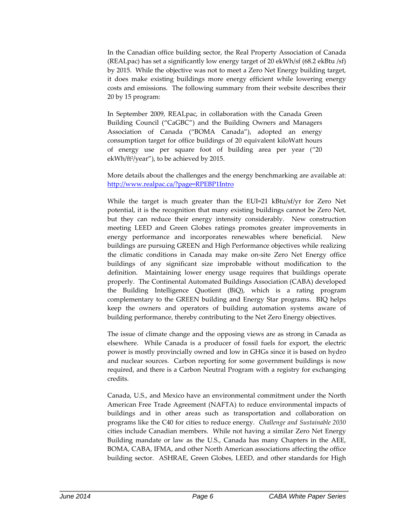In the Canadian office building sector, the Real Property Association of Canada (REALpac) has set a significantly low energy target of 20 ekWh/sf (68.2 ekBtu /sf) by 2015. While the objective was not to meet a Zero Net Energy building target, it does make existing buildings more energy efficient while lowering energy costs and emissions. The following summary from their website describes their 20 by 15 program:

In September 2009, REALpac, in collaboration with the Canada Green Building Council ("CaGBC") and the Building Owners and Managers Association of Canada ("BOMA Canada"), adopted an energy consumption target for office buildings of 20 equivalent kiloWatt hours of energy use per square foot of building area per year ("20 ekWh/ft<sup>2</sup>/year"), to be achieved by 2015.

More details about the challenges and the energy benchmarking are available at: http://www.realpac.ca/?page=RPEBP1Intro

While the target is much greater than the EUI=21 kBtu/sf/yr for Zero Net potential, it is the recognition that many existing buildings cannot be Zero Net, but they can reduce their energy intensity considerably. New construction meeting LEED and Green Globes ratings promotes greater improvements in energy performance and incorporates renewables where beneficial. New buildings are pursuing GREEN and High Performance objectives while realizing the climatic conditions in Canada may make on‐site Zero Net Energy office buildings of any significant size improbable without modification to the definition. Maintaining lower energy usage requires that buildings operate properly. The Continental Automated Buildings Association (CABA) developed the Building Intelligence Quotient (BiQ), which is a rating program complementary to the GREEN building and Energy Star programs. BIQ helps keep the owners and operators of building automation systems aware of building performance, thereby contributing to the Net Zero Energy objectives.

The issue of climate change and the opposing views are as strong in Canada as elsewhere. While Canada is a producer of fossil fuels for export, the electric power is mostly provincially owned and low in GHGs since it is based on hydro and nuclear sources. Carbon reporting for some government buildings is now required, and there is a Carbon Neutral Program with a registry for exchanging credits.

Canada, U.S., and Mexico have an environmental commitment under the North American Free Trade Agreement (NAFTA) to reduce environmental impacts of buildings and in other areas such as transportation and collaboration on programs like the C40 for cities to reduce energy. *Challenge and Sustainable 2030* cities include Canadian members. While not having a similar Zero Net Energy Building mandate or law as the U.S., Canada has many Chapters in the AEE, BOMA, CABA, IFMA, and other North American associations affecting the office building sector. ASHRAE, Green Globes, LEED, and other standards for High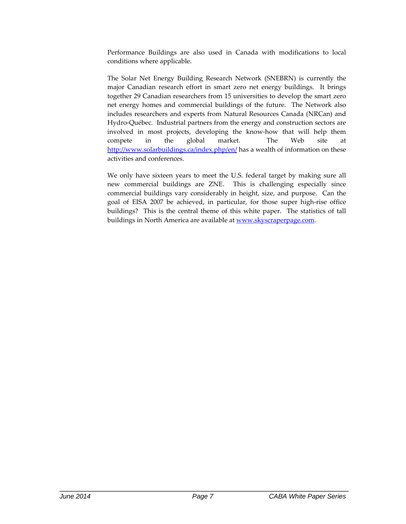Performance Buildings are also used in Canada with modifications to local conditions where applicable.

The Solar Net Energy Building Research Network (SNEBRN) is currently the major Canadian research effort in smart zero net energy buildings. It brings together 29 Canadian researchers from 15 universities to develop the smart zero net energy homes and commercial buildings of the future. The Network also includes researchers and experts from Natural Resources Canada (NRCan) and Hydro‐Québec. Industrial partners from the energy and construction sectors are involved in most projects, developing the know‐how that will help them compete in the global market. The Web site at http://www.solarbuildings.ca/index.php/en/ has a wealth of information on these activities and conferences.

We only have sixteen years to meet the U.S. federal target by making sure all new commercial buildings are ZNE. This is challenging especially since commercial buildings vary considerably in height, size, and purpose. Can the goal of EISA 2007 be achieved, in particular, for those super high‐rise office buildings? This is the central theme of this white paper. The statistics of tall buildings in North America are available at www.skyscraperpage.com.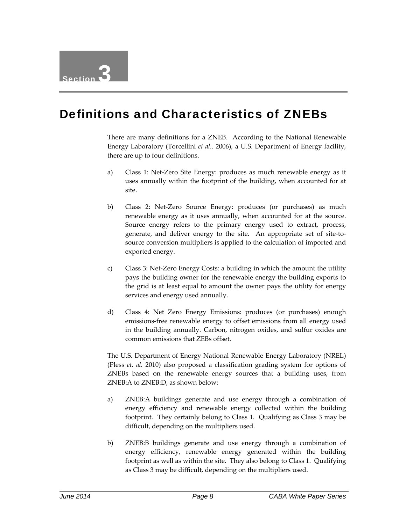#### Definitions and Characteristics of ZNEBs

There are many definitions for a ZNEB. According to the National Renewable Energy Laboratory (Torcellini *et al..* 2006), a U.S. Department of Energy facility, there are up to four definitions.

- a) Class 1: Net‐Zero Site Energy: produces as much renewable energy as it uses annually within the footprint of the building, when accounted for at site.
- b) Class 2: Net‐Zero Source Energy: produces (or purchases) as much renewable energy as it uses annually, when accounted for at the source. Source energy refers to the primary energy used to extract, process, generate, and deliver energy to the site. An appropriate set of site-tosource conversion multipliers is applied to the calculation of imported and exported energy.
- c) Class 3: Net‐Zero Energy Costs: a building in which the amount the utility pays the building owner for the renewable energy the building exports to the grid is at least equal to amount the owner pays the utility for energy services and energy used annually.
- d) Class 4: Net Zero Energy Emissions: produces (or purchases) enough emissions‐free renewable energy to offset emissions from all energy used in the building annually. Carbon, nitrogen oxides, and sulfur oxides are common emissions that ZEBs offset.

The U.S. Department of Energy National Renewable Energy Laboratory (NREL) (Pless *et. al.* 2010) also proposed a classification grading system for options of ZNEBs based on the renewable energy sources that a building uses, from ZNEB:A to ZNEB:D, as shown below:

- a) ZNEB:A buildings generate and use energy through a combination of energy efficiency and renewable energy collected within the building footprint. They certainly belong to Class 1. Qualifying as Class 3 may be difficult, depending on the multipliers used.
- b) ZNEB:B buildings generate and use energy through a combination of energy efficiency, renewable energy generated within the building footprint as well as within the site. They also belong to Class 1. Qualifying as Class 3 may be difficult, depending on the multipliers used.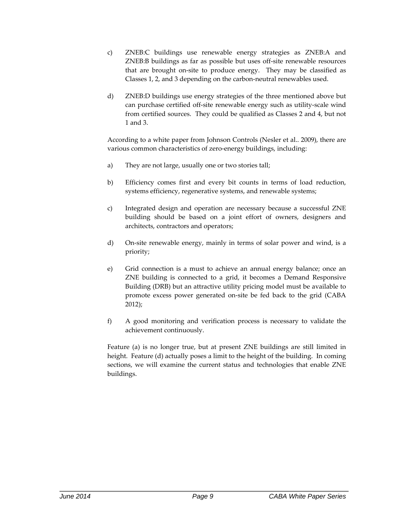- c) ZNEB:C buildings use renewable energy strategies as ZNEB:A and ZNEB:B buildings as far as possible but uses off‐site renewable resources that are brought on-site to produce energy. They may be classified as Classes 1, 2, and 3 depending on the carbon‐neutral renewables used.
- d) ZNEB:D buildings use energy strategies of the three mentioned above but can purchase certified off-site renewable energy such as utility-scale wind from certified sources. They could be qualified as Classes 2 and 4, but not 1 and 3.

According to a white paper from Johnson Controls (Nesler et al.. 2009), there are various common characteristics of zero-energy buildings, including:

- a) They are not large, usually one or two stories tall;
- b) Efficiency comes first and every bit counts in terms of load reduction, systems efficiency, regenerative systems, and renewable systems;
- c) Integrated design and operation are necessary because a successful ZNE building should be based on a joint effort of owners, designers and architects, contractors and operators;
- d) On‐site renewable energy, mainly in terms of solar power and wind, is a priority;
- e) Grid connection is a must to achieve an annual energy balance; once an ZNE building is connected to a grid, it becomes a Demand Responsive Building (DRB) but an attractive utility pricing model must be available to promote excess power generated on‐site be fed back to the grid (CABA 2012);
- f) A good monitoring and verification process is necessary to validate the achievement continuously.

Feature (a) is no longer true, but at present ZNE buildings are still limited in height. Feature (d) actually poses a limit to the height of the building. In coming sections, we will examine the current status and technologies that enable ZNE buildings.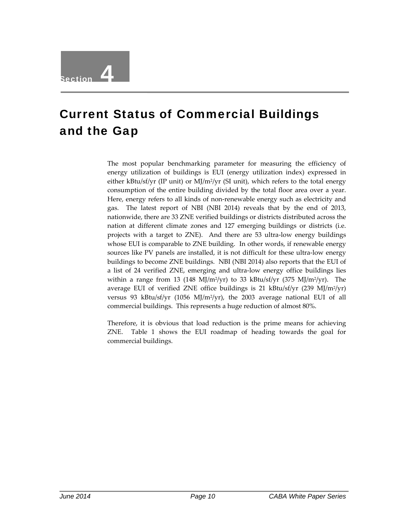# Section 4

### Current Status of Commercial Buildings and the Gap

The most popular benchmarking parameter for measuring the efficiency of energy utilization of buildings is EUI (energy utilization index) expressed in either kBtu/sf/yr (IP unit) or MJ/m2/yr (SI unit), which refers to the total energy consumption of the entire building divided by the total floor area over a year. Here, energy refers to all kinds of non-renewable energy such as electricity and gas. The latest report of NBI (NBI 2014) reveals that by the end of 2013, nationwide, there are 33 ZNE verified buildings or districts distributed across the nation at different climate zones and 127 emerging buildings or districts (i.e. projects with a target to ZNE). And there are 53 ultra‐low energy buildings whose EUI is comparable to ZNE building. In other words, if renewable energy sources like PV panels are installed, it is not difficult for these ultra-low energy buildings to become ZNE buildings. NBI (NBI 2014) also reports that the EUI of a list of 24 verified ZNE, emerging and ultra‐low energy office buildings lies within a range from 13 (148 MJ/m<sup>2</sup>/yr) to 33 kBtu/sf/yr (375 MJ/m<sup>2</sup>/yr). The average EUI of verified ZNE office buildings is 21 kBtu/sf/yr (239 MJ/m<sup>2</sup>/yr) versus 93 kBtu/sf/yr (1056 MJ/m2/yr), the 2003 average national EUI of all commercial buildings. This represents a huge reduction of almost 80%.

Therefore, it is obvious that load reduction is the prime means for achieving ZNE. Table 1 shows the EUI roadmap of heading towards the goal for commercial buildings.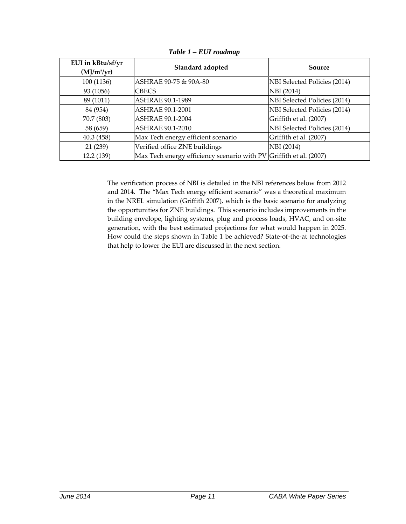| EUI in kBtu/sf/yr<br>$(MJ/m^2/yr)$ | Standard adopted                                                   | Source                       |
|------------------------------------|--------------------------------------------------------------------|------------------------------|
| 100 (1136)                         | ASHRAE 90-75 & 90A-80                                              | NBI Selected Policies (2014) |
| 93 (1056)                          | <b>CBECS</b>                                                       | NBI (2014)                   |
| 89 (1011)                          | ASHRAE 90.1-1989                                                   | NBI Selected Policies (2014) |
| 84 (954)                           | <b>ASHRAE 90.1-2001</b>                                            | NBI Selected Policies (2014) |
| 70.7 (803)                         | <b>ASHRAE 90.1-2004</b>                                            | Griffith et al. (2007)       |
| 58 (659)                           | ASHRAE 90.1-2010                                                   | NBI Selected Policies (2014) |
| 40.3 (458)                         | Max Tech energy efficient scenario                                 | Griffith et al. (2007)       |
| 21 (239)                           | Verified office ZNE buildings                                      | NBI (2014)                   |
| 12.2 (139)                         | Max Tech energy efficiency scenario with PV Griffith et al. (2007) |                              |

*Table 1 – EUI roadmap*

The verification process of NBI is detailed in the NBI references below from 2012 and 2014. The "Max Tech energy efficient scenario" was a theoretical maximum in the NREL simulation (Griffith 2007), which is the basic scenario for analyzing the opportunities for ZNE buildings. This scenario includes improvements in the building envelope, lighting systems, plug and process loads, HVAC, and on‐site generation, with the best estimated projections for what would happen in 2025. How could the steps shown in Table 1 be achieved? State‐of‐the‐at technologies that help to lower the EUI are discussed in the next section.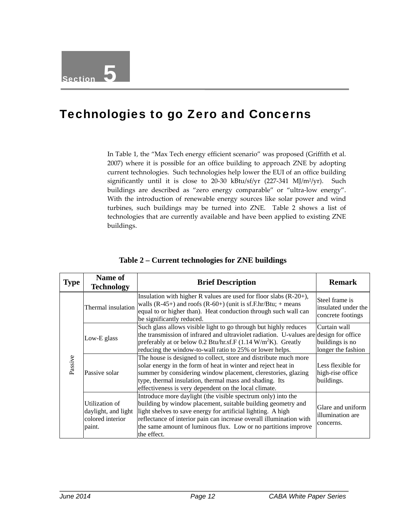#### Technologies to go Zero and Concerns

In Table 1, the "Max Tech energy efficient scenario" was proposed (Griffith et al. 2007) where it is possible for an office building to approach ZNE by adopting current technologies. Such technologies help lower the EUI of an office building significantly until it is close to 20-30 kBtu/sf/yr  $(227-341 \text{ MJ/m}^2/\text{yr})$ . Such buildings are described as "zero energy comparable" or "ultra-low energy". With the introduction of renewable energy sources like solar power and wind turbines, such buildings may be turned into ZNE. Table 2 shows a list of technologies that are currently available and have been applied to existing ZNE buildings.

| <b>Type</b> | Name of<br><b>Technology</b>                                        | <b>Brief Description</b>                                                                                                                                                                                                                                                                                                                             | <b>Remark</b>                                              |
|-------------|---------------------------------------------------------------------|------------------------------------------------------------------------------------------------------------------------------------------------------------------------------------------------------------------------------------------------------------------------------------------------------------------------------------------------------|------------------------------------------------------------|
| Passive     | Thermal insulation                                                  | Insulation with higher R values are used for floor slabs $(R-20+)$ ,<br>walls (R-45+) and roofs (R-60+) (unit is sf.F.hr/Btu; + means<br>equal to or higher than). Heat conduction through such wall can<br>be significantly reduced.                                                                                                                | Steel frame is<br>insulated under the<br>concrete footings |
|             | Low-E glass                                                         | Such glass allows visible light to go through but highly reduces<br>the transmission of infrared and ultraviolet radiation. U-values are design for office<br>preferably at or below 0.2 Btu/hr.sf.F (1.14 $W/m^2K$ ). Greatly<br>reducing the window-to-wall ratio to 25% or lower helps.                                                           | Curtain wall<br>buildings is no<br>longer the fashion      |
|             | Passive solar                                                       | The house is designed to collect, store and distribute much more<br>solar energy in the form of heat in winter and reject heat in<br>summer by considering window placement, clerestories, glazing<br>type, thermal insulation, thermal mass and shading. Its<br>effectiveness is very dependent on the local climate.                               | Less flexible for<br>high-rise office<br>buildings.        |
|             | Utilization of<br>daylight, and light<br>colored interior<br>paint. | Introduce more daylight (the visible spectrum only) into the<br>building by window placement, suitable building geometry and<br>light shelves to save energy for artificial lighting. A high<br>reflectance of interior pain can increase overall illumination with<br>the same amount of luminous flux. Low or no partitions improve<br>the effect. | Glare and uniform<br>illumination are<br>concerns.         |

**Table 2 – Current technologies for ZNE buildings**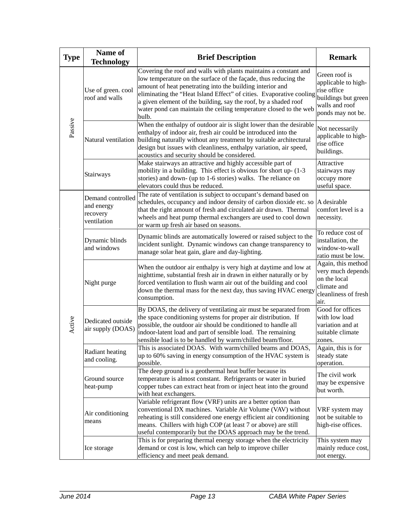| <b>Type</b> | Name of<br><b>Technology</b>                               | <b>Remark</b>                                                                                                                                                                                                                                                                                                                                                                                                            |                                                                                                                   |
|-------------|------------------------------------------------------------|--------------------------------------------------------------------------------------------------------------------------------------------------------------------------------------------------------------------------------------------------------------------------------------------------------------------------------------------------------------------------------------------------------------------------|-------------------------------------------------------------------------------------------------------------------|
| Passive     | Use of green. cool<br>roof and walls                       | Covering the roof and walls with plants maintains a constant and<br>low temperature on the surface of the façade, thus reducing the<br>amount of heat penetrating into the building interior and<br>eliminating the "Heat Island Effect" of cities. Evaporative cooling<br>a given element of the building, say the roof, by a shaded roof<br>water pond can maintain the ceiling temperature closed to the web<br>bulb. | Green roof is<br>applicable to high-<br>rise office<br>buildings but green<br>walls and roof<br>ponds may not be. |
|             | Natural ventilation                                        | When the enthalpy of outdoor air is slight lower than the desirable<br>enthalpy of indoor air, fresh air could be introduced into the<br>building naturally without any treatment by suitable architectural<br>design but issues with cleanliness, enthalpy variation, air speed,<br>acoustics and security should be considered.                                                                                        | Not necessarily<br>applicable to high-<br>rise office<br>buildings.                                               |
|             | Stairways                                                  | Make stairways an attractive and highly accessible part of<br>mobility in a building. This effect is obvious for short up- (1-3<br>stories) and down- (up to 1-6 stories) walks. The reliance on<br>elevators could thus be reduced.                                                                                                                                                                                     | Attractive<br>stairways may<br>occupy more<br>useful space.                                                       |
| Active      | Demand controlled<br>and energy<br>recovery<br>ventilation | The rate of ventilation is subject to occupant's demand based on<br>schedules, occupancy and indoor density of carbon dioxide etc. so<br>that the right amount of fresh and circulated air drawn. Thermal<br>wheels and heat pump thermal exchangers are used to cool down<br>or warm up fresh air based on seasons.                                                                                                     | A desirable<br>comfort level is a<br>necessity.                                                                   |
|             | Dynamic blinds<br>and windows                              | Dynamic blinds are automatically lowered or raised subject to the<br>incident sunlight. Dynamic windows can change transparency to<br>manage solar heat gain, glare and day-lighting.                                                                                                                                                                                                                                    | To reduce cost of<br>installation, the<br>window-to-wall<br>ratio must be low.                                    |
|             | Night purge                                                | When the outdoor air enthalpy is very high at daytime and low at<br>nighttime, substantial fresh air in drawn in either naturally or by<br>forced ventilation to flush warm air out of the building and cool<br>down the thermal mass for the next day, thus saving HVAC energy<br>consumption.                                                                                                                          | Again, this method<br>very much depends<br>on the local<br>climate and<br>cleanliness of fresh<br>air.            |
|             | Dedicated outside<br>air supply (DOAS)                     | By DOAS, the delivery of ventilating air must be separated from<br>the space conditioning systems for proper air distribution. If<br>possible, the outdoor air should be conditioned to handle all<br>indoor-latent load and part of sensible load. The remaining<br>sensible load is to be handled by warm/chilled beam/floor.                                                                                          | Good for offices<br>with low load<br>variation and at<br>suitable climate<br>zones.                               |
|             | Radiant heating<br>and cooling.                            | This is associated DOAS. With warm/chilled beams and DOAS,<br>up to 60% saving in energy consumption of the HVAC system is<br>possible.                                                                                                                                                                                                                                                                                  | Again, this is for<br>steady state<br>operation.                                                                  |
|             | Ground source<br>heat-pump                                 | The deep ground is a geothermal heat buffer because its<br>temperature is almost constant. Refrigerants or water in buried<br>copper tubes can extract heat from or inject heat into the ground<br>with heat exchangers.                                                                                                                                                                                                 | The civil work<br>may be expensive<br>but worth.                                                                  |
|             | Air conditioning<br>means                                  | Variable refrigerant flow (VRF) units are a better option than<br>conventional DX machines. Variable Air Volume (VAV) without<br>reheating is still considered one energy efficient air conditioning<br>means. Chillers with high COP (at least 7 or above) are still<br>useful contemporarily but the DOAS approach may be the trend.                                                                                   | VRF system may<br>not be suitable to<br>high-rise offices.                                                        |
|             | Ice storage                                                | This is for preparing thermal energy storage when the electricity<br>demand or cost is low, which can help to improve chiller<br>efficiency and meet peak demand.                                                                                                                                                                                                                                                        | This system may<br>mainly reduce cost,<br>not energy.                                                             |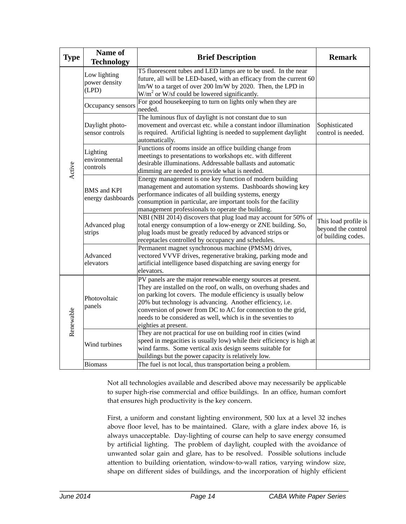| <b>Type</b> | Name of<br><b>Technology</b>                   | <b>Brief Description</b>                                                                                                                                                                                                                                                                                                                                                                                                | <b>Remark</b>                                                    |
|-------------|------------------------------------------------|-------------------------------------------------------------------------------------------------------------------------------------------------------------------------------------------------------------------------------------------------------------------------------------------------------------------------------------------------------------------------------------------------------------------------|------------------------------------------------------------------|
| Active      | Low lighting<br>power density<br>(LPD)         | T5 fluorescent tubes and LED lamps are to be used. In the near<br>future, all will be LED-based, with an efficacy from the current 60<br>lm/W to a target of over 200 lm/W by 2020. Then, the LPD in<br>$W/m2$ or W/sf could be lowered significantly.                                                                                                                                                                  |                                                                  |
|             | Occupancy sensors                              | For good housekeeping to turn on lights only when they are<br>needed.                                                                                                                                                                                                                                                                                                                                                   |                                                                  |
|             | Daylight photo-<br>sensor controls             | The luminous flux of daylight is not constant due to sun<br>movement and overcast etc. while a constant indoor illumination<br>is required. Artificial lighting is needed to supplement daylight<br>automatically.                                                                                                                                                                                                      | Sophisticated<br>control is needed.                              |
|             | Lighting<br>environmental<br>controls          | Functions of rooms inside an office building change from<br>meetings to presentations to workshops etc. with different<br>desirable illuminations. Addressable ballasts and automatic<br>dimming are needed to provide what is needed.                                                                                                                                                                                  |                                                                  |
|             | <b>BMS</b> and <b>KPI</b><br>energy dashboards | Energy management is one key function of modern building<br>management and automation systems. Dashboards showing key<br>performance indicates of all building systems, energy<br>consumption in particular, are important tools for the facility<br>management professionals to operate the building.                                                                                                                  |                                                                  |
|             | Advanced plug<br>strips                        | NBI (NBI 2014) discovers that plug load may account for 50% of<br>total energy consumption of a low-energy or ZNE building. So,<br>plug loads must be greatly reduced by advanced strips or<br>receptacles controlled by occupancy and schedules.                                                                                                                                                                       | This load profile is<br>beyond the control<br>of building codes. |
|             | Advanced<br>elevators                          | Permanent magnet synchronous machine (PMSM) drives,<br>vectored VVVF drives, regenerative braking, parking mode and<br>artificial intelligence based dispatching are saving energy for<br>elevators.                                                                                                                                                                                                                    |                                                                  |
| Renewable   | Photovoltaic<br>panels                         | PV panels are the major renewable energy sources at present.<br>They are installed on the roof, on walls, on overhung shades and<br>on parking lot covers. The module efficiency is usually below<br>20% but technology is advancing. Another efficiency, i.e.<br>conversion of power from DC to AC for connection to the grid,<br>needs to be considered as well, which is in the seventies to<br>eighties at present. |                                                                  |
|             | Wind turbines                                  | They are not practical for use on building roof in cities (wind<br>speed in megacities is usually low) while their efficiency is high at<br>wind farms. Some vertical axis design seems suitable for<br>buildings but the power capacity is relatively low.                                                                                                                                                             |                                                                  |
|             | <b>Biomass</b>                                 | The fuel is not local, thus transportation being a problem.                                                                                                                                                                                                                                                                                                                                                             |                                                                  |

Not all technologies available and described above may necessarily be applicable to super high-rise commercial and office buildings. In an office, human comfort that ensures high productivity is the key concern.

First, a uniform and constant lighting environment, 500 lux at a level 32 inches above floor level, has to be maintained. Glare, with a glare index above 16, is always unacceptable. Day‐lighting of course can help to save energy consumed by artificial lighting. The problem of daylight, coupled with the avoidance of unwanted solar gain and glare, has to be resolved. Possible solutions include attention to building orientation, window‐to‐wall ratios, varying window size, shape on different sides of buildings, and the incorporation of highly efficient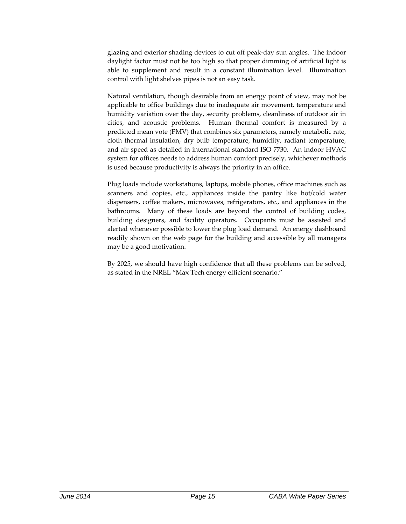glazing and exterior shading devices to cut off peak‐day sun angles. The indoor daylight factor must not be too high so that proper dimming of artificial light is able to supplement and result in a constant illumination level. Illumination control with light shelves pipes is not an easy task.

Natural ventilation, though desirable from an energy point of view, may not be applicable to office buildings due to inadequate air movement, temperature and humidity variation over the day, security problems, cleanliness of outdoor air in cities, and acoustic problems. Human thermal comfort is measured by a predicted mean vote (PMV) that combines six parameters, namely metabolic rate, cloth thermal insulation, dry bulb temperature, humidity, radiant temperature, and air speed as detailed in international standard ISO 7730. An indoor HVAC system for offices needs to address human comfort precisely, whichever methods is used because productivity is always the priority in an office.

Plug loads include workstations, laptops, mobile phones, office machines such as scanners and copies, etc., appliances inside the pantry like hot/cold water dispensers, coffee makers, microwaves, refrigerators, etc., and appliances in the bathrooms. Many of these loads are beyond the control of building codes, building designers, and facility operators. Occupants must be assisted and alerted whenever possible to lower the plug load demand. An energy dashboard readily shown on the web page for the building and accessible by all managers may be a good motivation.

By 2025, we should have high confidence that all these problems can be solved, as stated in the NREL "Max Tech energy efficient scenario."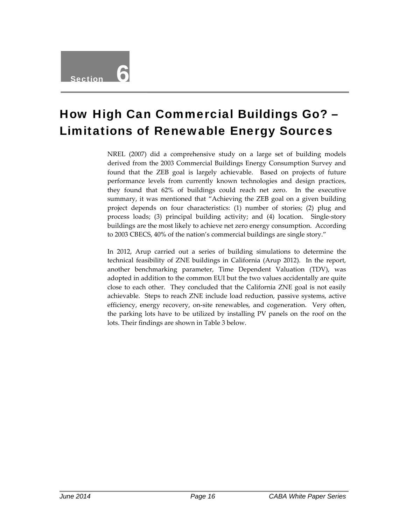### How High Can Commercial Buildings Go? – Limitations of Renewable Energy Sources

NREL (2007) did a comprehensive study on a large set of building models derived from the 2003 Commercial Buildings Energy Consumption Survey and found that the ZEB goal is largely achievable. Based on projects of future performance levels from currently known technologies and design practices, they found that 62% of buildings could reach net zero. In the executive summary, it was mentioned that "Achieving the ZEB goal on a given building project depends on four characteristics: (1) number of stories; (2) plug and process loads; (3) principal building activity; and (4) location. Single‐story buildings are the most likely to achieve net zero energy consumption. According to 2003 CBECS, 40% of the nation's commercial buildings are single story."

In 2012, Arup carried out a series of building simulations to determine the technical feasibility of ZNE buildings in California (Arup 2012). In the report, another benchmarking parameter, Time Dependent Valuation (TDV), was adopted in addition to the common EUI but the two values accidentally are quite close to each other. They concluded that the California ZNE goal is not easily achievable. Steps to reach ZNE include load reduction, passive systems, active efficiency, energy recovery, on-site renewables, and cogeneration. Very often, the parking lots have to be utilized by installing PV panels on the roof on the lots. Their findings are shown in Table 3 below.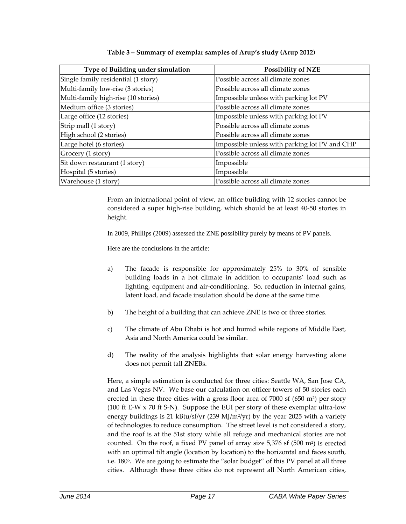| Type of Building under simulation   | <b>Possibility of NZE</b>                     |
|-------------------------------------|-----------------------------------------------|
| Single family residential (1 story) | Possible across all climate zones             |
| Multi-family low-rise (3 stories)   | Possible across all climate zones             |
| Multi-family high-rise (10 stories) | Impossible unless with parking lot PV         |
| Medium office (3 stories)           | Possible across all climate zones             |
| Large office (12 stories)           | Impossible unless with parking lot PV         |
| Strip mall (1 story)                | Possible across all climate zones             |
| High school (2 stories)             | Possible across all climate zones             |
| Large hotel (6 stories)             | Impossible unless with parking lot PV and CHP |
| Grocery (1 story)                   | Possible across all climate zones             |
| Sit down restaurant (1 story)       | Impossible                                    |
| Hospital (5 stories)                | Impossible                                    |
| Warehouse (1 story)                 | Possible across all climate zones             |

#### **Table 3 – Summary of exemplar samples of Arup's study (Arup 2012)**

From an international point of view, an office building with 12 stories cannot be considered a super high‐rise building, which should be at least 40‐50 stories in height.

In 2009, Phillips (2009) assessed the ZNE possibility purely by means of PV panels.

Here are the conclusions in the article:

- a) The facade is responsible for approximately 25% to 30% of sensible building loads in a hot climate in addition to occupants' load such as lighting, equipment and air‐conditioning. So, reduction in internal gains, latent load, and facade insulation should be done at the same time.
- b) The height of a building that can achieve ZNE is two or three stories.
- c) The climate of Abu Dhabi is hot and humid while regions of Middle East, Asia and North America could be similar.
- d) The reality of the analysis highlights that solar energy harvesting alone does not permit tall ZNEBs.

Here, a simple estimation is conducted for three cities: Seattle WA, San Jose CA, and Las Vegas NV. We base our calculation on officer towers of 50 stories each erected in these three cities with a gross floor area of  $7000$  sf  $(650 \text{ m}^2)$  per story (100 ft E‐W x 70 ft S‐N). Suppose the EUI per story of these exemplar ultra‐low energy buildings is 21 kBtu/sf/yr (239 MJ/m<sup>2</sup>/yr) by the year 2025 with a variety of technologies to reduce consumption. The street level is not considered a story, and the roof is at the 51st story while all refuge and mechanical stories are not counted. On the roof, a fixed PV panel of array size 5,376 sf (500 m2) is erected with an optimal tilt angle (location by location) to the horizontal and faces south, i.e. 180<sup>o</sup>. We are going to estimate the "solar budget" of this PV panel at all three cities. Although these three cities do not represent all North American cities,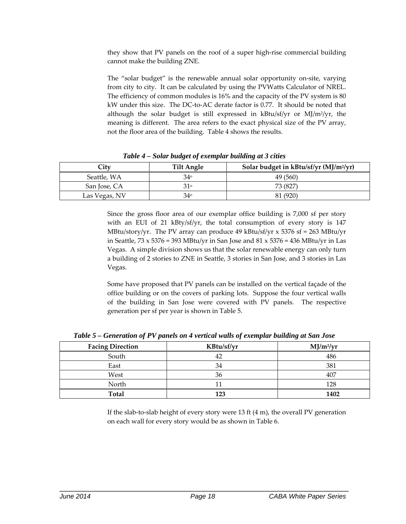they show that PV panels on the roof of a super high‐rise commercial building cannot make the building ZNE.

The "solar budget" is the renewable annual solar opportunity on‐site, varying from city to city. It can be calculated by using the PVWatts Calculator of NREL. The efficiency of common modules is 16% and the capacity of the PV system is 80 kW under this size. The DC‐to‐AC derate factor is 0.77. It should be noted that although the solar budget is still expressed in  $kBtu/sf/yr$  or MJ/m<sup>2</sup>/yr, the meaning is different. The area refers to the exact physical size of the PV array, not the floor area of the building. Table 4 shows the results.

| City          | Tilt Angle | Solar budget in $kBtu/sf/yr (MJ/m^2/yr)$ |
|---------------|------------|------------------------------------------|
| Seattle, WA   | $34^\circ$ | 49 (560)                                 |
| San Jose, CA  | 310        | 73 (827)                                 |
| Las Vegas, NV | 34°        | 81 (920)                                 |

*Table 4 – Solar budget of exemplar building at 3 cities*

Since the gross floor area of our exemplar office building is 7,000 sf per story with an EUI of 21 kBty/sf/yr, the total consumption of every story is 147 MBtu/story/yr. The PV array can produce 49 kBtu/sf/yr  $x$  5376 sf = 263 MBtu/yr in Seattle,  $73 \times 5376 = 393$  MBtu/yr in San Jose and  $81 \times 5376 = 436$  MBtu/yr in Las Vegas. A simple division shows us that the solar renewable energy can only turn a building of 2 stories to ZNE in Seattle, 3 stories in San Jose, and 3 stories in Las Vegas.

Some have proposed that PV panels can be installed on the vertical façade of the office building or on the covers of parking lots. Suppose the four vertical walls of the building in San Jose were covered with PV panels. The respective generation per sf per year is shown in Table 5.

| <b>Facing Direction</b> | KBtu/sf/yr | $MJ/m^2/yr$ |
|-------------------------|------------|-------------|
| South                   | 42         | 486         |
| East                    | 34         | 381         |
| West                    | 36         |             |
| North                   |            | 128         |
| <b>Total</b>            | 123        | 1402        |

*Table 5 – Generation of PV panels on 4 vertical walls of exemplar building at San Jose*

If the slab-to-slab height of every story were 13 ft  $(4 \text{ m})$ , the overall PV generation on each wall for every story would be as shown in Table 6.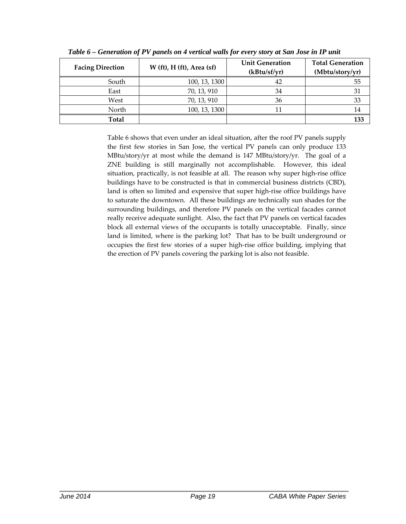| <b>Facing Direction</b> | $W$ (ft), $H$ (ft), Area (sf) | <b>Unit Generation</b><br>(kBtu/sf/yr) | <b>Total Generation</b><br>(Mbtu/story/yr) |
|-------------------------|-------------------------------|----------------------------------------|--------------------------------------------|
| South                   | 100, 13, 1300                 | 42                                     | 55                                         |
| East                    | 70, 13, 910                   | 34                                     | 31                                         |
| West                    | 70, 13, 910                   | 36                                     | 33                                         |
| North                   | 100, 13, 1300                 | 11                                     | 14                                         |
| Total                   |                               |                                        | 133                                        |

*Table 6 – Generation of PV panels on 4 vertical walls for every story at San Jose in IP unit*

Table 6 shows that even under an ideal situation, after the roof PV panels supply the first few stories in San Jose, the vertical PV panels can only produce 133 MBtu/story/yr at most while the demand is 147 MBtu/story/yr. The goal of a ZNE building is still marginally not accomplishable. However, this ideal situation, practically, is not feasible at all. The reason why super high-rise office buildings have to be constructed is that in commercial business districts (CBD), land is often so limited and expensive that super high-rise office buildings have to saturate the downtown. All these buildings are technically sun shades for the surrounding buildings, and therefore PV panels on the vertical facades cannot really receive adequate sunlight. Also, the fact that PV panels on vertical facades block all external views of the occupants is totally unacceptable. Finally, since land is limited, where is the parking lot? That has to be built underground or occupies the first few stories of a super high‐rise office building, implying that the erection of PV panels covering the parking lot is also not feasible.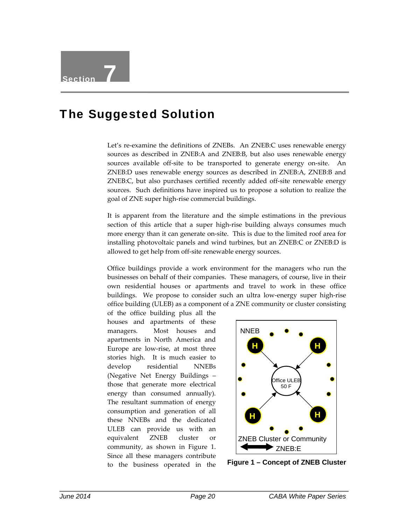#### The Suggested Solution

Let's re-examine the definitions of ZNEBs. An ZNEB:C uses renewable energy sources as described in ZNEB:A and ZNEB:B, but also uses renewable energy sources available off-site to be transported to generate energy on-site. An ZNEB:D uses renewable energy sources as described in ZNEB:A, ZNEB:B and ZNEB:C, but also purchases certified recently added off‐site renewable energy sources. Such definitions have inspired us to propose a solution to realize the goal of ZNE super high‐rise commercial buildings.

It is apparent from the literature and the simple estimations in the previous section of this article that a super high-rise building always consumes much more energy than it can generate on‐site. This is due to the limited roof area for installing photovoltaic panels and wind turbines, but an ZNEB:C or ZNEB:D is allowed to get help from off‐site renewable energy sources.

Office buildings provide a work environment for the managers who run the businesses on behalf of their companies. These managers, of course, live in their own residential houses or apartments and travel to work in these office buildings. We propose to consider such an ultra low‐energy super high‐rise office building (ULEB) as a component of a ZNE community or cluster consisting

of the office building plus all the houses and apartments of these managers. Most houses and apartments in North America and Europe are low‐rise, at most three stories high. It is much easier to develop residential NNEBs (Negative Net Energy Buildings – those that generate more electrical energy than consumed annually). The resultant summation of energy consumption and generation of all these NNEBs and the dedicated ULEB can provide us with an equivalent ZNEB cluster or community, as shown in Figure 1. Since all these managers contribute to the business operated in the



**Figure 1 – Concept of ZNEB Cluster**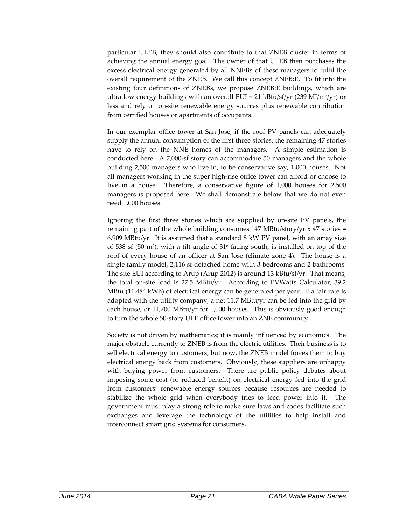particular ULEB, they should also contribute to that ZNEB cluster in terms of achieving the annual energy goal. The owner of that ULEB then purchases the excess electrical energy generated by all NNEBs of these managers to fulfil the overall requirement of the ZNEB. We call this concept ZNEB:E. To fit into the existing four definitions of ZNEBs, we propose ZNEB:E buildings, which are ultra low energy buildings with an overall EUI = 21 kBtu/sf/yr (239 MJ/m<sup>2</sup>/yr) or less and rely on on‐site renewable energy sources plus renewable contribution from certified houses or apartments of occupants.

In our exemplar office tower at San Jose, if the roof PV panels can adequately supply the annual consumption of the first three stories, the remaining 47 stories have to rely on the NNE homes of the managers. A simple estimation is conducted here. A 7,000‐sf story can accommodate 50 managers and the whole building 2,500 managers who live in, to be conservative say, 1,000 houses. Not all managers working in the super high‐rise office tower can afford or choose to live in a house. Therefore, a conservative figure of 1,000 houses for 2,500 managers is proposed here. We shall demonstrate below that we do not even need 1,000 houses.

Ignoring the first three stories which are supplied by on‐site PV panels, the remaining part of the whole building consumes 147 MBtu/story/yr x 47 stories = 6,909 MBtu/yr. It is assumed that a standard 8 kW PV panel, with an array size of 538 sf (50 m<sup>2</sup>), with a tilt angle of  $31^\circ$  facing south, is installed on top of the roof of every house of an officer at San Jose (climate zone 4). The house is a single family model, 2,116 sf detached home with 3 bedrooms and 2 bathrooms. The site EUI according to Arup (Arup 2012) is around 13 kBtu/sf/yr. That means, the total on‐site load is 27.5 MBtu/yr. According to PVWatts Calculator, 39.2 MBtu (11,484 kWh) of electrical energy can be generated per year. If a fair rate is adopted with the utility company, a net 11.7 MBtu/yr can be fed into the grid by each house, or 11,700 MBtu/yr for 1,000 houses. This is obviously good enough to turn the whole 50‐story ULE office tower into an ZNE community.

Society is not driven by mathematics; it is mainly influenced by economics. The major obstacle currently to ZNEB is from the electric utilities. Their business is to sell electrical energy to customers, but now, the ZNEB model forces them to buy electrical energy back from customers. Obviously, these suppliers are unhappy with buying power from customers. There are public policy debates about imposing some cost (or reduced benefit) on electrical energy fed into the grid from customers' renewable energy sources because resources are needed to stabilize the whole grid when everybody tries to feed power into it. The government must play a strong role to make sure laws and codes facilitate such exchanges and leverage the technology of the utilities to help install and interconnect smart grid systems for consumers.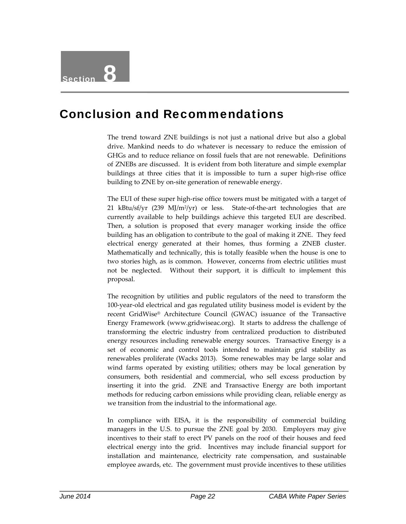#### Conclusion and Recommendations

The trend toward ZNE buildings is not just a national drive but also a global drive. Mankind needs to do whatever is necessary to reduce the emission of GHGs and to reduce reliance on fossil fuels that are not renewable. Definitions of ZNEBs are discussed. It is evident from both literature and simple exemplar buildings at three cities that it is impossible to turn a super high‐rise office building to ZNE by on‐site generation of renewable energy.

The EUI of these super high‐rise office towers must be mitigated with a target of 21 kBtu/sf/yr (239 MJ/m<sup>2</sup>/yr) or less. State-of-the-art technologies that are currently available to help buildings achieve this targeted EUI are described. Then, a solution is proposed that every manager working inside the office building has an obligation to contribute to the goal of making it ZNE. They feed electrical energy generated at their homes, thus forming a ZNEB cluster. Mathematically and technically, this is totally feasible when the house is one to two stories high, as is common. However, concerns from electric utilities must not be neglected. Without their support, it is difficult to implement this proposal.

The recognition by utilities and public regulators of the need to transform the 100‐year‐old electrical and gas regulated utility business model is evident by the recent GridWise® Architecture Council (GWAC) issuance of the Transactive Energy Framework (www.gridwiseac.org). It starts to address the challenge of transforming the electric industry from centralized production to distributed energy resources including renewable energy sources. Transactive Energy is a set of economic and control tools intended to maintain grid stability as renewables proliferate (Wacks 2013). Some renewables may be large solar and wind farms operated by existing utilities; others may be local generation by consumers, both residential and commercial, who sell excess production by inserting it into the grid. ZNE and Transactive Energy are both important methods for reducing carbon emissions while providing clean, reliable energy as we transition from the industrial to the informational age.

In compliance with EISA, it is the responsibility of commercial building managers in the U.S. to pursue the ZNE goal by 2030. Employers may give incentives to their staff to erect PV panels on the roof of their houses and feed electrical energy into the grid. Incentives may include financial support for installation and maintenance, electricity rate compensation, and sustainable employee awards, etc. The government must provide incentives to these utilities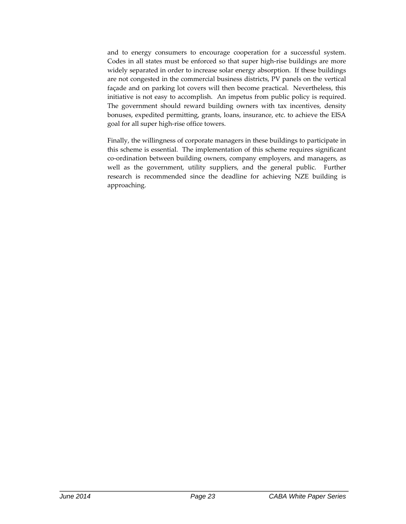and to energy consumers to encourage cooperation for a successful system. Codes in all states must be enforced so that super high‐rise buildings are more widely separated in order to increase solar energy absorption. If these buildings are not congested in the commercial business districts, PV panels on the vertical façade and on parking lot covers will then become practical. Nevertheless, this initiative is not easy to accomplish. An impetus from public policy is required. The government should reward building owners with tax incentives, density bonuses, expedited permitting, grants, loans, insurance, etc. to achieve the EISA goal for all super high‐rise office towers.

Finally, the willingness of corporate managers in these buildings to participate in this scheme is essential. The implementation of this scheme requires significant co‐ordination between building owners, company employers, and managers, as well as the government, utility suppliers, and the general public. Further research is recommended since the deadline for achieving NZE building is approaching.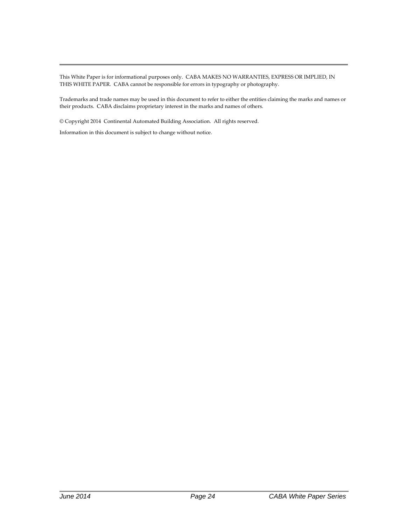This White Paper is for informational purposes only. CABA MAKES NO WARRANTIES, EXPRESS OR IMPLIED, IN THIS WHITE PAPER. CABA cannot be responsible for errors in typography or photography.

Trademarks and trade names may be used in this document to refer to either the entities claiming the marks and names or their products. CABA disclaims proprietary interest in the marks and names of others.

© Copyright 2014 Continental Automated Building Association. All rights reserved.

Information in this document is subject to change without notice.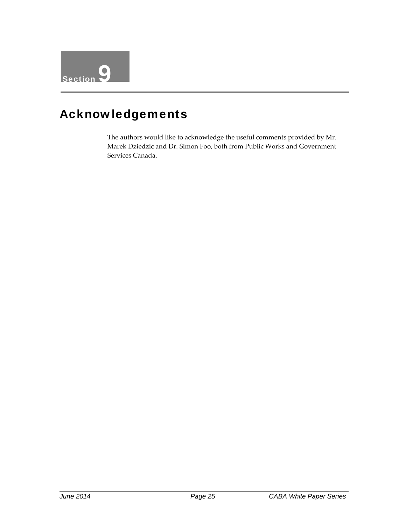

#### Acknowledgements

The authors would like to acknowledge the useful comments provided by Mr. Marek Dziedzic and Dr. Simon Foo, both from Public Works and Government Services Canada.